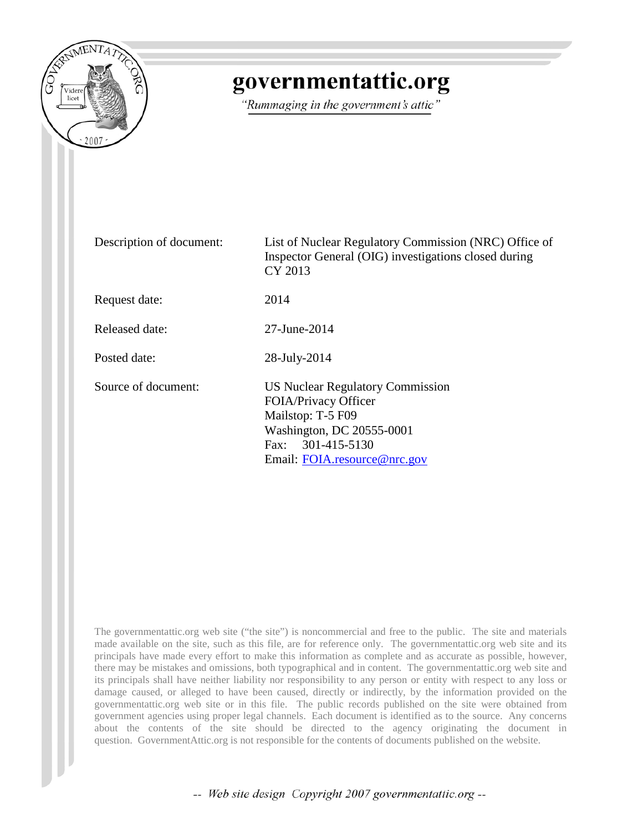

# governmentattic.org

"Rummaging in the government's attic"

| Description of document: | List of Nuclear Regulatory Commission (NRC) Office of<br>Inspector General (OIG) investigations closed during<br>CY 2013                                                  |
|--------------------------|---------------------------------------------------------------------------------------------------------------------------------------------------------------------------|
| Request date:            | 2014                                                                                                                                                                      |
| Released date:           | 27-June-2014                                                                                                                                                              |
| Posted date:             | 28-July-2014                                                                                                                                                              |
| Source of document:      | <b>US Nuclear Regulatory Commission</b><br>FOIA/Privacy Officer<br>Mailstop: T-5 F09<br>Washington, DC 20555-0001<br>301-415-5130<br>Fax:<br>Email: FOIA.resource@nrc.gov |

The governmentattic.org web site ("the site") is noncommercial and free to the public. The site and materials made available on the site, such as this file, are for reference only. The governmentattic.org web site and its principals have made every effort to make this information as complete and as accurate as possible, however, there may be mistakes and omissions, both typographical and in content. The governmentattic.org web site and its principals shall have neither liability nor responsibility to any person or entity with respect to any loss or damage caused, or alleged to have been caused, directly or indirectly, by the information provided on the governmentattic.org web site or in this file. The public records published on the site were obtained from government agencies using proper legal channels. Each document is identified as to the source. Any concerns about the contents of the site should be directed to the agency originating the document in question. GovernmentAttic.org is not responsible for the contents of documents published on the website.

-- Web site design Copyright 2007 governmentattic.org --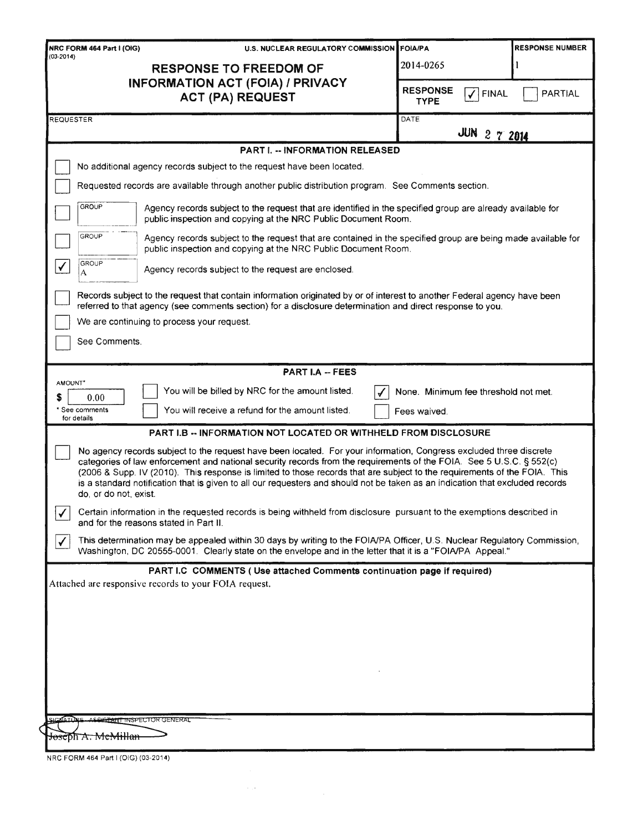| NRC FORM 464 Part I (OIG)                  | U.S. NUCLEAR REGULATORY COMMISSION FOIA/PA                                                                                                                                                                                                                                                                                                                                                                                                                                                               |                                                     | <b>RESPONSE NUMBER</b> |
|--------------------------------------------|----------------------------------------------------------------------------------------------------------------------------------------------------------------------------------------------------------------------------------------------------------------------------------------------------------------------------------------------------------------------------------------------------------------------------------------------------------------------------------------------------------|-----------------------------------------------------|------------------------|
| $(03 - 2014)$                              | <b>RESPONSE TO FREEDOM OF</b>                                                                                                                                                                                                                                                                                                                                                                                                                                                                            | 2014-0265                                           |                        |
|                                            | <b>INFORMATION ACT (FOIA) / PRIVACY</b><br><b>ACT (PA) REQUEST</b>                                                                                                                                                                                                                                                                                                                                                                                                                                       | <b>RESPONSE</b><br>J<br><b>FINAL</b><br><b>TYPE</b> | <b>PARTIAL</b>         |
| REQUESTER                                  |                                                                                                                                                                                                                                                                                                                                                                                                                                                                                                          | DATE<br>JUN 2 7 2014                                |                        |
|                                            | <b>PART I. -- INFORMATION RELEASED</b>                                                                                                                                                                                                                                                                                                                                                                                                                                                                   |                                                     |                        |
|                                            | No additional agency records subject to the request have been located.                                                                                                                                                                                                                                                                                                                                                                                                                                   |                                                     |                        |
|                                            | Requested records are available through another public distribution program. See Comments section.                                                                                                                                                                                                                                                                                                                                                                                                       |                                                     |                        |
| <b>GROUP</b>                               | Agency records subject to the request that are identified in the specified group are already available for<br>public inspection and copying at the NRC Public Document Room.                                                                                                                                                                                                                                                                                                                             |                                                     |                        |
| <b>GROUP</b>                               | Agency records subject to the request that are contained in the specified group are being made available for<br>public inspection and copying at the NRC Public Document Room.                                                                                                                                                                                                                                                                                                                           |                                                     |                        |
| GROUP<br>✓<br>A                            | Agency records subject to the request are enclosed.                                                                                                                                                                                                                                                                                                                                                                                                                                                      |                                                     |                        |
|                                            | Records subject to the request that contain information originated by or of interest to another Federal agency have been<br>referred to that agency (see comments section) for a disclosure determination and direct response to you.                                                                                                                                                                                                                                                                    |                                                     |                        |
|                                            | We are continuing to process your request.                                                                                                                                                                                                                                                                                                                                                                                                                                                               |                                                     |                        |
| See Comments.                              |                                                                                                                                                                                                                                                                                                                                                                                                                                                                                                          |                                                     |                        |
|                                            | <b>PART I.A -- FEES</b>                                                                                                                                                                                                                                                                                                                                                                                                                                                                                  |                                                     |                        |
| AMOUNT*                                    | You will be billed by NRC for the amount listed.                                                                                                                                                                                                                                                                                                                                                                                                                                                         | None. Minimum fee threshold not met.                |                        |
| S<br>0.00<br>* See comments<br>for details | You will receive a refund for the amount listed.                                                                                                                                                                                                                                                                                                                                                                                                                                                         | Fees waived.                                        |                        |
|                                            | <b>PART I.B -- INFORMATION NOT LOCATED OR WITHHELD FROM DISCLOSURE</b>                                                                                                                                                                                                                                                                                                                                                                                                                                   |                                                     |                        |
| do, or do not, exist.                      | No agency records subject to the request have been located. For your information, Congress excluded three discrete<br>categories of law enforcement and national security records from the requirements of the FOIA. See 5 U.S.C. § 552(c)<br>(2006 & Supp. IV (2010). This response is limited to those records that are subject to the requirements of the FOIA. This<br>is a standard notification that is given to all our requesters and should not be taken as an indication that excluded records |                                                     |                        |
| ✓                                          | Certain information in the requested records is being withheld from disclosure pursuant to the exemptions described in<br>and for the reasons stated in Part II.                                                                                                                                                                                                                                                                                                                                         |                                                     |                        |
| $\checkmark$                               | This determination may be appealed within 30 days by writing to the FOIA/PA Officer, U.S. Nuclear Regulatory Commission,<br>Washington, DC 20555-0001. Clearly state on the envelope and in the letter that it is a "FOIA/PA Appeal."                                                                                                                                                                                                                                                                    |                                                     |                        |
|                                            | PART I.C COMMENTS (Use attached Comments continuation page if required)                                                                                                                                                                                                                                                                                                                                                                                                                                  |                                                     |                        |
|                                            | Attached are responsive records to your FOIA request.                                                                                                                                                                                                                                                                                                                                                                                                                                                    |                                                     |                        |
|                                            |                                                                                                                                                                                                                                                                                                                                                                                                                                                                                                          |                                                     |                        |
|                                            |                                                                                                                                                                                                                                                                                                                                                                                                                                                                                                          |                                                     |                        |
|                                            |                                                                                                                                                                                                                                                                                                                                                                                                                                                                                                          |                                                     |                        |
|                                            |                                                                                                                                                                                                                                                                                                                                                                                                                                                                                                          |                                                     |                        |
|                                            |                                                                                                                                                                                                                                                                                                                                                                                                                                                                                                          |                                                     |                        |
|                                            |                                                                                                                                                                                                                                                                                                                                                                                                                                                                                                          |                                                     |                        |
| SICKATURE ASSICTANT INSPECTOR GENERAL      |                                                                                                                                                                                                                                                                                                                                                                                                                                                                                                          |                                                     |                        |
| <del>Joseph A: McMillan</del>              |                                                                                                                                                                                                                                                                                                                                                                                                                                                                                                          |                                                     |                        |
| NRC FORM 464 Part I (OIG) (03-2014)        |                                                                                                                                                                                                                                                                                                                                                                                                                                                                                                          |                                                     |                        |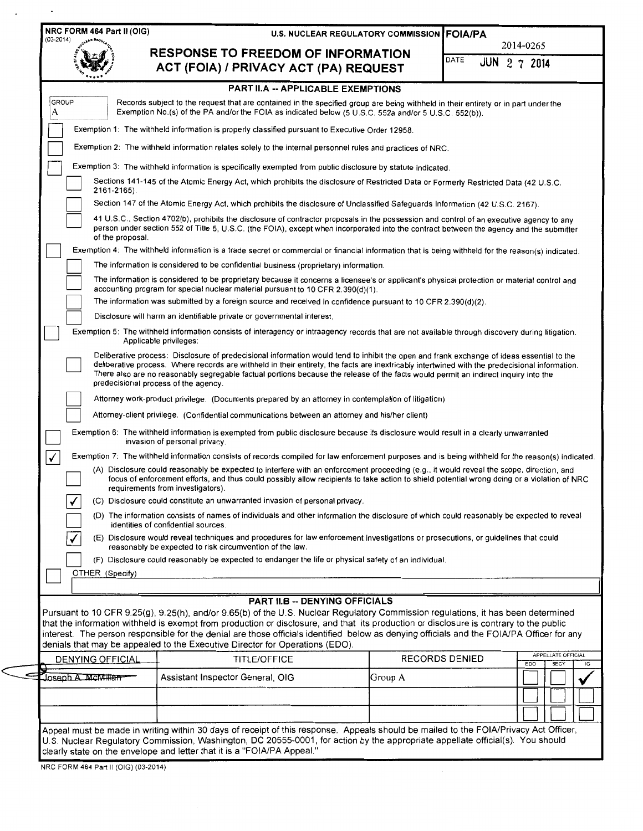| $(03-2014)$           |                                                                                                                                                                                                                                                                                                                                                                                                                                                                            | <b>U.S. NUCLEAR REGULATORY COMMISSION   FOIA/PA</b> | 2014-0265                        |
|-----------------------|----------------------------------------------------------------------------------------------------------------------------------------------------------------------------------------------------------------------------------------------------------------------------------------------------------------------------------------------------------------------------------------------------------------------------------------------------------------------------|-----------------------------------------------------|----------------------------------|
|                       | <b>RESPONSE TO FREEDOM OF INFORMATION</b><br>ACT (FOIA) / PRIVACY ACT (PA) REQUEST                                                                                                                                                                                                                                                                                                                                                                                         | DATE                                                | <b>JUN 2 7 2014</b>              |
|                       | <b>PART II.A -- APPLICABLE EXEMPTIONS</b>                                                                                                                                                                                                                                                                                                                                                                                                                                  |                                                     |                                  |
| <b>GROUP</b><br>А     | Records subject to the request that are contained in the specified group are being withheld in their entirety or in part under the<br>Exemption No.(s) of the PA and/or the FOIA as indicated below (5 U.S.C. 552a and/or 5 U.S.C. 552(b)).                                                                                                                                                                                                                                |                                                     |                                  |
|                       | Exemption 1: The withheld information is properly classified pursuant to Executive Order 12958.                                                                                                                                                                                                                                                                                                                                                                            |                                                     |                                  |
|                       | Exemption 2: The withheld information relates solely to the internal personnel rules and practices of NRC.                                                                                                                                                                                                                                                                                                                                                                 |                                                     |                                  |
|                       | Exemption 3: The withheld information is specifically exempted from public disclosure by statute indicated.                                                                                                                                                                                                                                                                                                                                                                |                                                     |                                  |
| 2161-2165).           | Sections 141-145 of the Atomic Energy Act, which prohibits the disclosure of Restricted Data or Formerly Restricted Data (42 U.S.C.                                                                                                                                                                                                                                                                                                                                        |                                                     |                                  |
|                       | Section 147 of the Atomic Energy Act, which prohibits the disclosure of Unclassified Safeguards Information (42 U.S.C. 2167).                                                                                                                                                                                                                                                                                                                                              |                                                     |                                  |
| of the proposal.      | 41 U.S.C., Section 4702(b), prohibits the disclosure of contractor proposals in the possession and control of an executive agency to any<br>person under section 552 of Title 5, U.S.C. (the FOIA), except when incorporated into the contract between the agency and the submitter                                                                                                                                                                                        |                                                     |                                  |
|                       | Exemption 4: The withheld information is a trade secret or commercial or financial information that is being withheld for the reason(s) indicated.                                                                                                                                                                                                                                                                                                                         |                                                     |                                  |
|                       | The information is considered to be confidential business (proprietary) information.                                                                                                                                                                                                                                                                                                                                                                                       |                                                     |                                  |
|                       | The information is considered to be proprietary because it concerns a licensee's or applicant's physical protection or material control and<br>accounting program for special nuclear material pursuant to 10 CFR 2.390(d)(1).                                                                                                                                                                                                                                             |                                                     |                                  |
|                       | The information was submitted by a foreign source and received in confidence pursuant to 10 CFR 2.390(d)(2).                                                                                                                                                                                                                                                                                                                                                               |                                                     |                                  |
|                       | Disclosure will harm an identifiable private or governmental interest.                                                                                                                                                                                                                                                                                                                                                                                                     |                                                     |                                  |
|                       | Exemption 5: The withheld information consists of interagency or intraagency records that are not available through discovery during litigation.<br>Applicable privileges:                                                                                                                                                                                                                                                                                                 |                                                     |                                  |
|                       | Deliberative process: Disclosure of predecisional information would tend to inhibit the open and frank exchange of ideas essential to the<br>deliberative process. Where records are withheld in their entirety, the facts are inextricably intertwined with the predecisional information.<br>There also are no reasonably segregable factual portions because the release of the facts would permit an indirect inquiry into the<br>predecisional process of the agency. |                                                     |                                  |
|                       | Attorney work-product privilege. (Documents prepared by an attorney in contemplation of litigation)                                                                                                                                                                                                                                                                                                                                                                        |                                                     |                                  |
|                       | Attorney-client privilege. (Confidential communications between an attorney and his/her client)                                                                                                                                                                                                                                                                                                                                                                            |                                                     |                                  |
|                       | Exemption 6: The withheld information is exempted from public disclosure because its disclosure would result in a clearly unwarranted<br>invasion of personal privacy.                                                                                                                                                                                                                                                                                                     |                                                     |                                  |
| ✓                     | Exemption 7: The withheld information consists of records compiled for law enforcement purposes and is being withheld for the reason(s) indicated.                                                                                                                                                                                                                                                                                                                         |                                                     |                                  |
|                       | (A) Disclosure could reasonably be expected to interfere with an enforcement proceeding (e.g., it would reveal the scope, direction, and<br>focus of enforcement efforts, and thus could possibly allow recipients to take action to shield potential wrong doing or a violation of NRC<br>requirements from investigators).                                                                                                                                               |                                                     |                                  |
| $\overline{\sqrt{ }}$ | (C) Disclosure could constitute an unwarranted invasion of personal privacy.                                                                                                                                                                                                                                                                                                                                                                                               |                                                     |                                  |
|                       | (D) The information consists of names of individuals and other information the disclosure of which could reasonably be expected to reveal<br>identities of confidential sources.                                                                                                                                                                                                                                                                                           |                                                     |                                  |
|                       | (E) Disclosure would reveal techniques and procedures for law enforcement investigations or prosecutions, or guidelines that could<br>reasonably be expected to risk circumvention of the law.                                                                                                                                                                                                                                                                             |                                                     |                                  |
|                       | (F) Disclosure could reasonably be expected to endanger the life or physical safety of an individual.                                                                                                                                                                                                                                                                                                                                                                      |                                                     |                                  |
| OTHER (Specify)       |                                                                                                                                                                                                                                                                                                                                                                                                                                                                            |                                                     |                                  |
|                       |                                                                                                                                                                                                                                                                                                                                                                                                                                                                            |                                                     |                                  |
|                       | <b>PART II.B -- DENYING OFFICIALS</b><br>Pursuant to 10 CFR 9.25(g), 9.25(h), and/or 9.65(b) of the U.S. Nuclear Regulatory Commission regulations, it has been determined                                                                                                                                                                                                                                                                                                 |                                                     |                                  |
|                       | that the information withheld is exempt from production or disclosure, and that its production or disclosure is contrary to the public                                                                                                                                                                                                                                                                                                                                     |                                                     |                                  |
|                       | interest. The person responsible for the denial are those officials identified below as denying officials and the FOIA/PA Officer for any<br>denials that may be appealed to the Executive Director for Operations (EDO).                                                                                                                                                                                                                                                  |                                                     |                                  |
| DENYING OFFICIAL      | <b>TITLE/OFFICE</b>                                                                                                                                                                                                                                                                                                                                                                                                                                                        | <b>RECORDS DENIED</b>                               | APPELLATE OFFICIAL<br><b>EDO</b> |
|                       | Assistant Inspector General, OIG                                                                                                                                                                                                                                                                                                                                                                                                                                           | Group A                                             | <b>SECY</b>                      |
|                       |                                                                                                                                                                                                                                                                                                                                                                                                                                                                            |                                                     |                                  |
|                       |                                                                                                                                                                                                                                                                                                                                                                                                                                                                            |                                                     |                                  |
| Joseph A. McMillan    |                                                                                                                                                                                                                                                                                                                                                                                                                                                                            |                                                     |                                  |

NRC FORM 464 Part II (OIG) (03-2014)

 $\ddot{\phantom{0}}$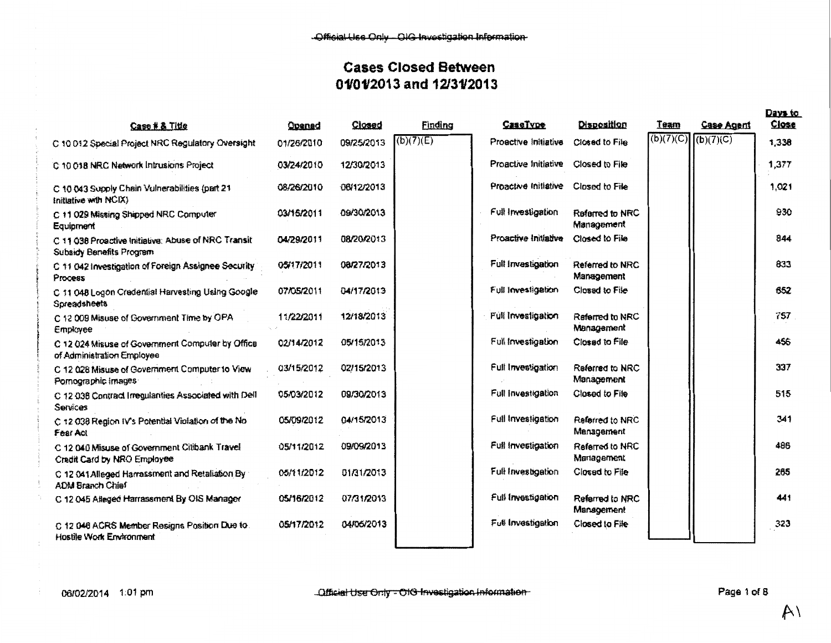|                                                                                        |            |            |           |                                     |                               |             |            | Days to  |
|----------------------------------------------------------------------------------------|------------|------------|-----------|-------------------------------------|-------------------------------|-------------|------------|----------|
| Case # & Title                                                                         | Opened     | Closed     | Finding   | CaseTvpe                            | <b>Disposition</b>            | <u>Team</u> | Case Agent | $C$ lose |
| C 10 012 Special Project NRC Regulatory Oversight                                      | 01/26/2010 | 09/25/2013 | (b)(7)(E) | Proactive Initiative                | Closed to File                | (b)(7)(C)   | (b)(7)(C)  | 1,338    |
| C 10 018 NRC Network Intrusions Project                                                | 03/24/2010 | 12/30/2013 |           | Proactive Initiative Closed to File |                               |             |            | 1,377    |
| C 10 043 Supply Chain Volnerabilities (part 21<br>Initiative with NCIX)                | 08/26/2010 | 06/12/2013 |           | Proactive Initiative Closed to File |                               |             |            | 1,021    |
| C 11 029 Missing Shipped NRC Computer<br>Equipment                                     | 03/15/2011 | 09/30/2013 |           | Full Investigation                  | Rafarred to NRC<br>Management |             |            | 930      |
| C 11 038 Proactive Initiative: Abuse of NRC Transit<br><b>Subsidy Benefits Program</b> | 04/29/2011 | 08/20/2013 |           | Proactive Initiative                | Closed to File                |             |            | 844      |
| C 11 042 Investigation of Foreign Assignee Security.<br>Process                        | 05/17/2011 | 08/27/2013 |           | Full Investigation                  | Referred to NRC<br>Management |             |            | 833      |
| C 11 048 Logon Credential Harvesting Using Google<br>Spreadsheets                      | 07/05/2011 | 04/17/2013 |           | Full Investigation                  | Closed to File                |             |            | 652      |
| C 12 009 Misuse of Government Time by OPA<br>Employee                                  | 11/22/2011 | 12/18/2013 |           | Full Investigation                  | Referred to NRC<br>Management |             |            | 757      |
| C 12 024 Misuse of Government Computer by Office<br>of Administration Employee         | 02/14/2012 | 05/15/2013 |           | Full Investigation                  | Closed to File                |             |            | 456      |
| C 12 028 Misuse of Government Computer to View<br>Pomographic images                   | 03/15/2012 | 02/15/2013 |           | Full Investigation                  | Referred to NRC<br>Management |             |            | 337      |
| C 12 036 Contract Irregularities Associated with Dell<br>Services                      | 05/03/2012 | 09/30/2013 |           | Full investigation                  | Closed to File                |             |            | 515      |
| C 12 038 Region IV's Potential Violation of the No<br>Fear Act                         | 05/09/2012 | 04/15/2013 |           | Full Investigation                  | Referred to NRC<br>Management |             |            | 341      |
| C 12 040 Misuse of Government Citibank Travel<br>Credit Card by NRO Employee           | 05/11/2012 | 09/09/2013 |           | Full investigation                  | Referred to NRC<br>Management |             |            | 486      |
| C 12 041 Alleged Harrassment and Retaliation By<br>ADM Branch Chief                    | 05/11/2012 | 01/31/2013 |           | Full Investigation                  | Closed to File                |             |            | 265      |
| C 12 045 Alleged Harrassment By OIS Manager                                            | 05/16/2012 | 07/31/2013 |           | Full Investigation                  | Referred to NRC<br>Mansgement |             |            | 441      |
| C 12 046 ACRS Member Resigns Position Due to.<br>Hostile Work Environment              | 05/17/2012 | 04/06/2013 |           | Full Investigation                  | Closed to File                |             |            | 323      |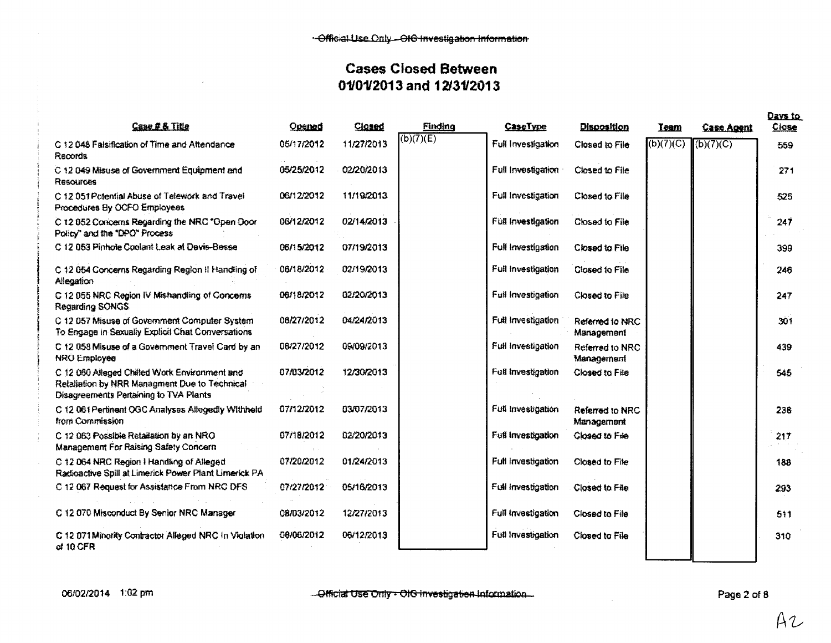| Case # & Title                                                                                                                           | Opened     | Closed     | Finding   | <b>CaseType</b>    | <b>Disposition</b>            | Team      | <b>Case Agent</b>      | Days to<br><b>Close</b> |
|------------------------------------------------------------------------------------------------------------------------------------------|------------|------------|-----------|--------------------|-------------------------------|-----------|------------------------|-------------------------|
| C 12 048 Falsification of Time and Attendance<br>Records                                                                                 | 05/17/2012 | 11/27/2013 | (b)(7)(E) | Full Investigation | Closed to File                | (b)(7)(C) | $\overline{(b)(7)(C)}$ | 559                     |
| C 12 049 Misuse of Government Equipment and<br>Resources                                                                                 | 05/25/2012 | 02/20/2013 |           | Full Investigation | Closed to File                |           |                        | 271                     |
| C 12 051 Potential Abuse of Telework and Travel<br>Procedures By OCFO Employees                                                          | 06/12/2012 | 11/19/2013 |           | Full Investigation | Closed to File                |           |                        | 525                     |
| C 12 052 Concerns Regarding the NRC "Open Door<br>Policy" and the "DPO" Process                                                          | 06/12/2012 | 02/14/2013 |           | Full Investigation | Closed to File                |           |                        | 247                     |
| C 12 053 Pinhole Coolant Leak at Davis-Besse                                                                                             | 06/15/2012 | 07/19/2013 |           | Full Investigation | Closed to File                |           |                        | 399                     |
| C 12.054 Concerns Regarding Region II Handling of<br>Allegation                                                                          | 06/18/2012 | 02/19/2013 |           | Full Investigation | Closed to File                |           |                        | 246                     |
| C 12 055 NRC Region IV Mishandling of Concerns<br>Regarding SONGS                                                                        | 06/18/2012 | 02/20/2013 |           | Full Investigation | Closed to File                |           |                        | 247                     |
| C 12 057 Misuse of Government Computer System<br>To Engage in Sexually Explicit Chat Conversations                                       | 06/27/2012 | 04/24/2013 |           | Full Investigation | Referred to NRC<br>Management |           |                        | 301                     |
| C 12 058 Misuse of a Government Travel Card by an<br><b>NRO Employee</b>                                                                 | 06/27/2012 | 09/09/2013 |           | Full Investigation | Referred to NRC<br>Management |           |                        | 439                     |
| C 12 060 Alleged Chilled Work Environment and<br>Retaliation by NRR Managment Due to Technical<br>Disagreements Pertaining to TVA Plants | 07/03/2012 | 12/30/2013 |           | Full Investigation | Closed to File                |           |                        | 545                     |
| C 12 061 Pertinent OGC Analyses Allegedly Withheld<br>from Commission                                                                    | 07/12/2012 | 03/07/2013 |           | Full Investigation | Referred to NRC<br>Management |           |                        | 238                     |
| C 12 063 Possible Retailation by an NRO<br><b>Management For Raising Safety Concern</b>                                                  | 07/18/2012 | 02/20/2013 |           | Full Investigation | Closed to File                |           |                        | 217                     |
| C 12 064 NRC Region I Handling of Alleged<br>Radioactive Spill at Limerick Power Plant Limerick PA                                       | 07/20/2012 | 01/24/2013 |           | Full investigation | Closed to File                |           |                        | 188                     |
| C 12 067 Request for Assistance From NRC DFS                                                                                             | 07/27/2012 | 05/16/2013 |           | Full investigation | Closed to File                |           |                        | 293                     |
| C 12 070 Misconduct By Senior NRC Manager                                                                                                | 08/03/2012 | 12/27/2013 |           | Full Investigation | Closed to File                |           |                        | 511                     |
| C 12 071 Minority Contractor Alleged NRC In Violation<br>of 10 CFR                                                                       | 06/06/2012 | 06/12/2013 |           | Full Investigation | Closed to File                |           |                        | 310                     |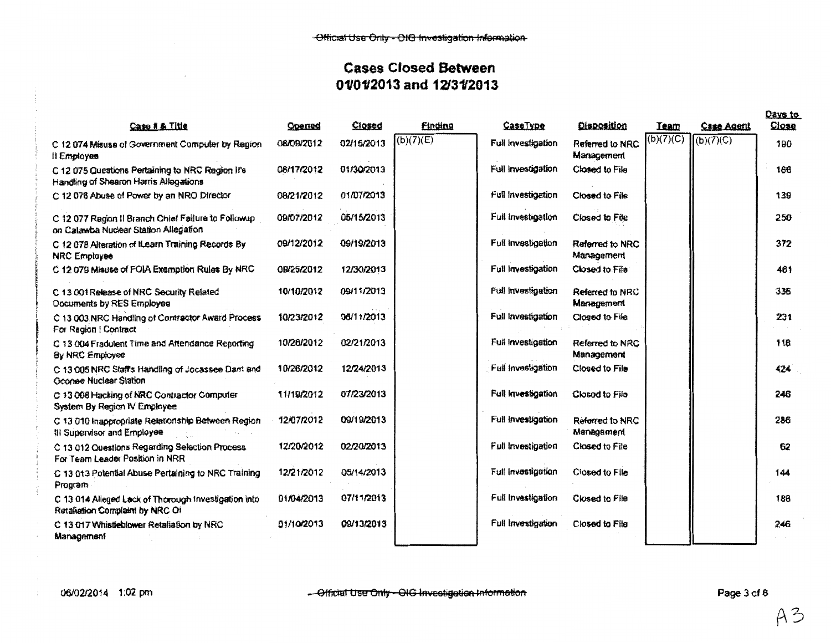|                                                                                              |            |            |                |                    |                               |             |                   | Days to  |
|----------------------------------------------------------------------------------------------|------------|------------|----------------|--------------------|-------------------------------|-------------|-------------------|----------|
| Caso # & Title                                                                               | Opened     | $Cio$ sed  | <b>Finding</b> | CaseType           | Qisposition                   | <b>Team</b> | <b>Case Agent</b> | $C$ lose |
| C 12 074 Misuse of Government Computer by Region<br>Il Employee                              | 08/09/2012 | 02/16/2013 | (b)(7)(E)      | Full Investigation | Referred to NRC<br>Management | (b)(7)(C)   | (b)(7)(C)         | 190      |
| C 12 075 Questions Pertaining to NRC Region II's<br>Handling of Shearon Harris Allegations   | 08/17/2012 | 01/30/2013 |                | Full investigation | Closed to File                |             |                   | 166      |
| C 12 076 Abuse of Power by an NRO Director                                                   | 08/21/2012 | 01/07/2013 |                | Full investigation | Closed to File                |             |                   | 139      |
| C 12 077 Region II Branch Chief Failure to Followup<br>on Calawba Nuclear Station Allegation | 09/07/2012 | 05/15/2013 |                | Full investigation | Closed to File                |             |                   | 250      |
| C 12 078 Alteration of iLearn Training Records By<br><b>NRC Employee</b>                     | 09/12/2012 | 09/19/2013 |                | Full investigation | Referred to NRC<br>Management |             |                   | 372      |
| C 12 079 Misuse of FOIA Exemption Rules By NRC                                               | 09/25/2012 | 12/30/2013 |                | Full Investigation | Closed to File                |             |                   | 461      |
| C 13 001 Release of NRC Security Related<br>Documents by RES Employee                        | 10/10/2012 | 09/11/2013 |                | Full Investigation | Referred to NRC<br>Management |             |                   | 336      |
| C 13 003 NRC Handling of Contractor Award Process<br>For Region   Contract                   | 10/23/2012 | 06/11/2013 |                | Full Investigation | Closed to File                |             |                   | 231      |
| C 13 004 Fradulent Time and Attendance Reporting<br><b>Sy NRC Employee</b>                   | 10/26/2012 | 02/21/2013 |                | Full Investigation | Referred to NRC<br>Management |             |                   | 118      |
| C 13 005 NRC Staffs Handling of Jocassee Dam and<br>Oconee Nuclear Station                   | 10/26/2012 | 12/24/2013 |                | Full investigation | Closed to File                |             |                   | 424      |
| C 13 008 Hacking of NRC Contractor Computer<br>System By Region IV Employee                  | 11/19/2012 | 07/23/2013 |                | Full Investigation | Closed to File                |             |                   | 246      |
| C 13 010 Inappropriate Relationship Between Region<br>III Supervisor and Employee            | 12/07/2012 | 09/19/2013 |                | Full Investigation | Referred to NRC<br>Managament |             |                   | 286      |
| C 13 012 Questions Regarding Selection Process<br>For Team Leader Position in NRR            | 12/20/2012 | 02/20/2013 |                | Full Investigation | Closed to File                |             |                   | 62       |
| C 13 013 Potential Abuse Pertaining to NRC Training<br>Program                               | 12/21/2012 | 05/14/2013 |                | Full investigation | Closed to File                |             |                   | 144      |
| C 13 014 Alleged Lack of Thorough Investigation into<br>Retaliation Complaint by NRC Of      | 01/04/2013 | 07/11/2013 |                | Full investigation | Closed to File                |             |                   | 188      |
| C 13 017 Whistleblower Retaliation by NRC<br>Management                                      | 01/10/2013 | 09/13/2013 |                | Full Investigation | Closed to File                |             |                   | 246      |

 $\frac{1}{2}$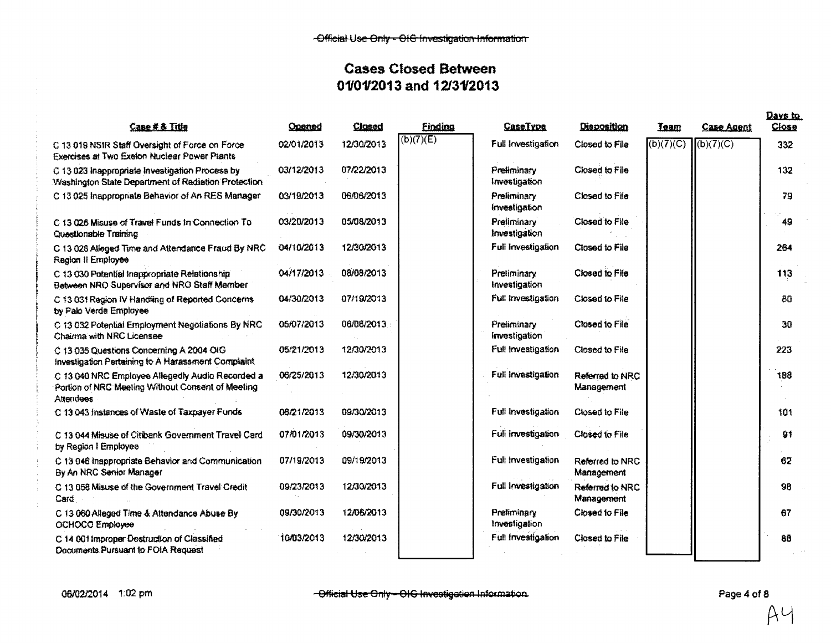| Cape # & Title                                                                                                            | Opened     | Closed     | <b>Finding</b> | <b>CaseType</b>              | Disposition                   | <b>Isam</b> | <b>Case Agent</b>          | Close  |
|---------------------------------------------------------------------------------------------------------------------------|------------|------------|----------------|------------------------------|-------------------------------|-------------|----------------------------|--------|
| C 13 019 NSIR Staff Oversight of Force on Force<br>Exercises at Two Exelon Nuclear Power Plants                           | 02/01/2013 | 12/30/2013 | (b)(7)(E)      | Full Investigation           | Closed to File                | (b)(7)(C)   | $\left  \right $ (b)(7)(C) | 332    |
| C 13 023 Inappropriate Investigation Process by<br>Washington State Department of Radiation Protection                    | 03/12/2013 | 07/22/2013 |                | Preliminary<br>Investigation | Closed to File                |             |                            | $-132$ |
| C 13 025 Inappropriate Behavior of An RES Manager                                                                         | 03/19/2013 | 06/06/2013 |                | Preliminary<br>Investigation | Closed to File                |             |                            | 79     |
| C 13 026 Misuse of Travel Funds In Connection To<br>Questionable Training                                                 | 03/20/2013 | 05/08/2013 |                | Preliminary<br>Investigation | Closed to File                |             |                            | 49     |
| C 13 028 Alleged Time and Attendance Fraud By NRC<br>Region II Employee                                                   | 04/10/2013 | 12/30/2013 |                | Full Investigation           | Closed to File                |             |                            | 264    |
| C 13 030 Potential Inappropriate Relationship<br>Between NRO Supervisor and NRO Staff Member                              | 04/17/2013 | 08/08/2013 |                | Pretiminary<br>Investigation | Closed to File                |             |                            | 113    |
| C 13.031 Region IV Handling of Reported Concerns<br>by Palo Verde Employee                                                | 04/30/2013 | 07/19/2013 |                | Full Investigation           | Closed to File                |             |                            | 80     |
| C 13 032 Potential Employment Negotiations By NRC<br>Chairma with NRC Licensee                                            | 05/07/2013 | 06/06/2013 |                | Preliminary<br>Investigation | Closed to File                |             |                            | 30     |
| C 13 035 Questions Concerning A 2004 OIG<br>Investigation Pertaining to A Harassment Complaint                            | 05/21/2013 | 12/30/2013 |                | Full Investigation           | Closed to File                |             |                            | 223    |
| C 13 040 NRC Employee Allegedly Audio Recorded a<br>Portion of NRC Meeting Without Consent of Meeting<br><b>Attendees</b> | 06/25/2013 | 12/30/2013 |                | Full Investigation           | Referred to NRC<br>Management |             |                            | 198    |
| C 13 043 Instances of Waste of Taxpayer Funds                                                                             | 06/21/2013 | 09/30/2013 |                | Full Investigation           | Closed to File                |             |                            | 101    |
| C 13 044 Misuse of Citibank Government Travel Card<br>by Region I Employee                                                | 07/01/2013 | 09/30/2013 |                | Full Investigation           | Closed to File                |             |                            | 91     |
| C 13 046 Inappropriate Behavior and Communication<br>By An NRC Senior Manager                                             | 07/19/2013 | 09/19/2013 |                | Full Investigation           | Referred to NRC<br>Management |             |                            | 62     |
| C 13 058 Misuse of the Government Travel Credit<br>Card                                                                   | 09/23/2013 | 12/30/2013 |                | Full Investigation           | Referred to NRC<br>Management |             |                            | 98     |
| C 13 060 Alleged Time & Attendance Abuse By<br>OCHOCO Employee                                                            | 09/30/2013 | 12/06/2013 |                | Prefiminary<br>Investigation | Closed to File                |             |                            | 67     |
| C 14.001 Improper Destruction of Classified<br>Documents Pursuant to FOIA Request                                         | 10/03/2013 | 12/30/2013 |                | Full Investigation           | Closed to File                |             |                            | 88     |

 ${A}$ 4

Days to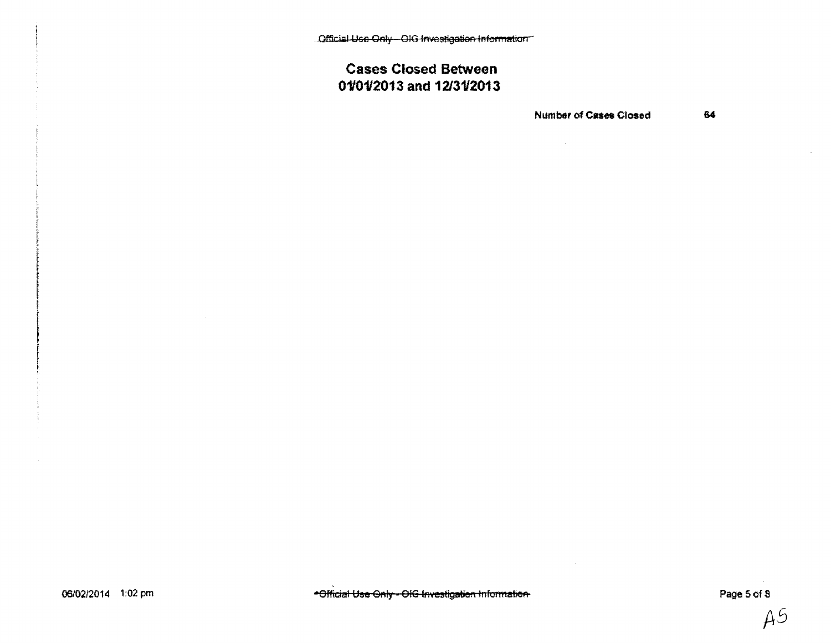Official Use Only - OIG Investigation Information

# **Cases Closed Between** 01/01/2013 and 12/31/2013

**Number of Cases Closed** 

64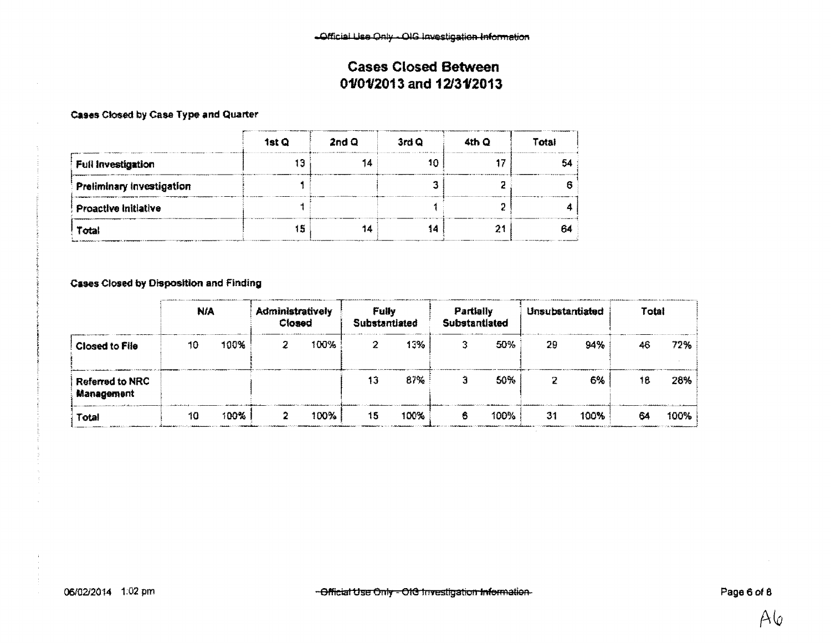#### Cases Closed by Case Type and Quarter

|                             | 1st Q | 2ndQ | 3rd Q | 4th Q | Total |
|-----------------------------|-------|------|-------|-------|-------|
| Full Investigation          |       |      |       |       |       |
| Preliminary Investigation   |       |      |       |       |       |
| <b>Proactive initiative</b> |       |      |       |       |       |
| Total                       | 5     |      |       |       | 154   |

**Cases Closed by Disposition and Finding** 

|                                      | <b>N/A</b> |      | Administratively<br>Closed |      | Fully<br>Substantiated |      | Partially<br>Substantiated |      | Unsubstantiated |      | Total |      |
|--------------------------------------|------------|------|----------------------------|------|------------------------|------|----------------------------|------|-----------------|------|-------|------|
| <b>Closed to File</b>                | 10         | 100% |                            | 100% |                        | 13%  |                            | 50%  | 29              | 94%  | 46    | 72%  |
| <b>Referred to NRC</b><br>Management |            |      |                            |      | 13                     | 87%  |                            | 50%  |                 | 6%   | 18    | 28%  |
| Total                                | 10         | 100% |                            | 100% | 15                     | 100% | 6                          | 100% | 31              | 100% | 64    | 100% |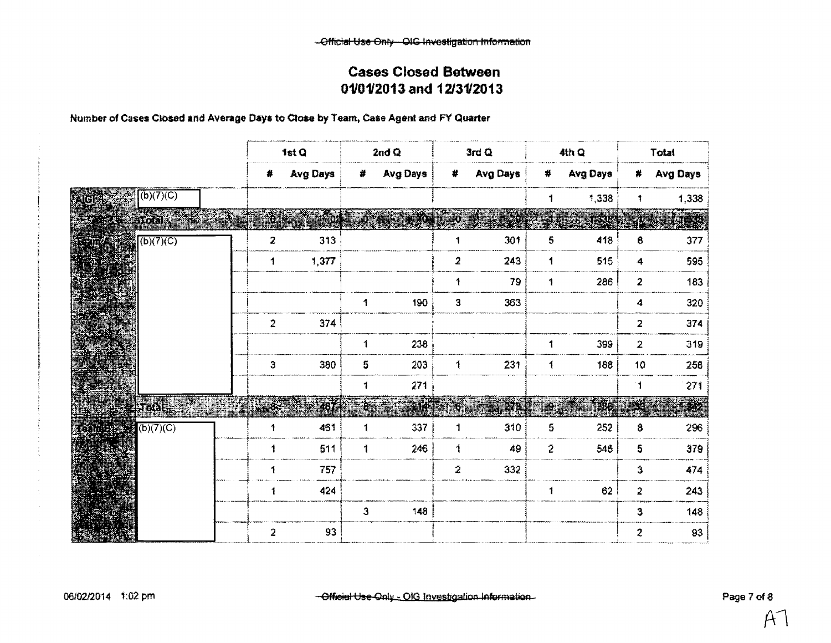Number of Cases Closed and Average Days to Close by Team, Case Agent and FY Quarter

|                      |           |     |                | 1st Q    |              | 2nd $Q$    |                | 3rdQ     |               | 4th Q      |                      | Total    |
|----------------------|-----------|-----|----------------|----------|--------------|------------|----------------|----------|---------------|------------|----------------------|----------|
|                      |           |     | $\#$           | Avg Days |              | # Avg Days | #              | Avg Days | $\#$          | Avg Days   | #                    | Avg Days |
| iid                  | (b)(7)(C) |     |                |          |              |            |                |          | 1             | 1,338      | 1                    | 1,338    |
| 355                  | ालबाड़    |     |                |          |              |            |                |          |               | <b>TAR</b> |                      |          |
| Ш                    | (b)(7)(C) |     | $\overline{2}$ | 313      |              |            | 1              | 301      | 5             | 418        | 8                    | 377      |
|                      |           |     | $\mathbf{1}$   | 1,377    |              |            | $\overline{a}$ | 243      | 1             | 515        | $\blacktriangleleft$ | 595      |
|                      |           |     |                |          |              |            | 1              | 79       | 1             | 286        | 2                    | 183      |
|                      |           |     |                |          | 1            | 190        | $\mathbf{3}$   | 363      |               |            | 4                    | 320      |
|                      |           |     | $\overline{2}$ | 374      |              |            |                |          |               |            | $\overline{2}$       | 374      |
|                      |           |     |                |          | 1            | 238        |                |          | 1             | 399        | $\overline{2}$       | 319      |
|                      |           |     | 3              | 380      | 5            | 203        | $\mathbf{1}$   | 231      | $\ddagger$    | 188        | 10                   | 258      |
|                      |           |     |                |          | 1            | 271        |                |          |               |            | ់1                   | 271      |
|                      | Soda      | a a | <b>ETAS:</b>   | 487      |              | 205        |                | Br.      | $\frac{1}{2}$ | 286        |                      |          |
| $binb + 2$ (b)(7)(C) |           |     | 1              | 461      |              | 337        | 1              | 310      | 5             | 252        | 8                    | 296      |
|                      |           |     |                | 511      | 1            | 246        | 1              | 49       | $\tilde{z}$   | 545        | 5                    | 379      |
|                      |           |     |                | 757      |              |            | $\mathbf{z}$   | 332      |               |            | 3                    | 474      |
|                      |           |     |                | 424      |              |            |                |          | $\mathbf{1}$  | 62         | $\overline{a}$       | 243      |
|                      |           |     |                |          | $\mathbf{3}$ | 148        |                |          |               |            | 3                    | 148      |
|                      |           |     | $\overline{2}$ | 93       |              |            |                |          |               |            | $\boldsymbol{z}$     | 93       |

 $\sim$ 

 $\mathcal{A}^{\!\scriptscriptstyle\negthinspace\negthinspace\negthinspace\negthinspace}$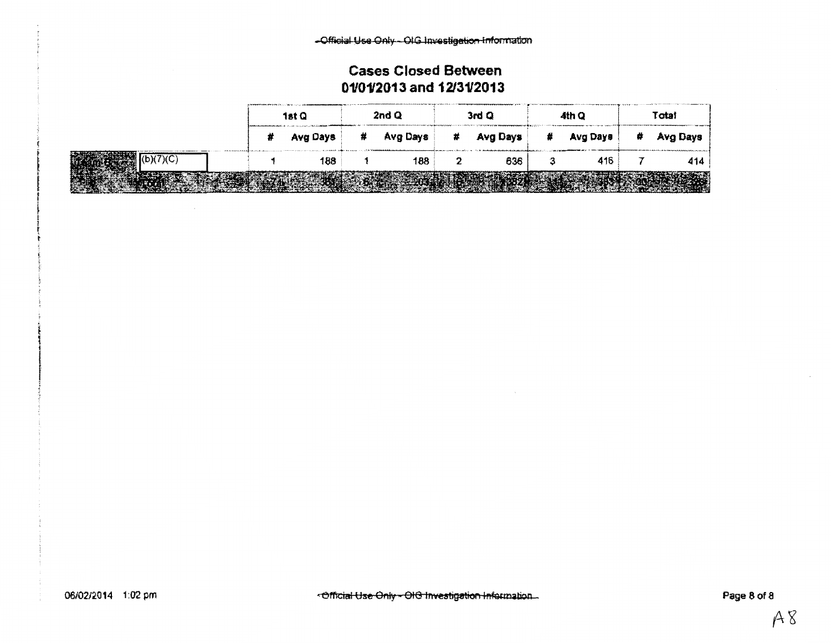|  | 1st Q      | 2nd Q      | 3rd Q      |   | 4th Q    | Total      |
|--|------------|------------|------------|---|----------|------------|
|  | # Avg Days | # Avg Days | # Avg Days | ₩ | Avg Days | # Avg Days |
|  | 188        | 188        | 636        |   | 416      | 414        |
|  |            |            |            |   |          |            |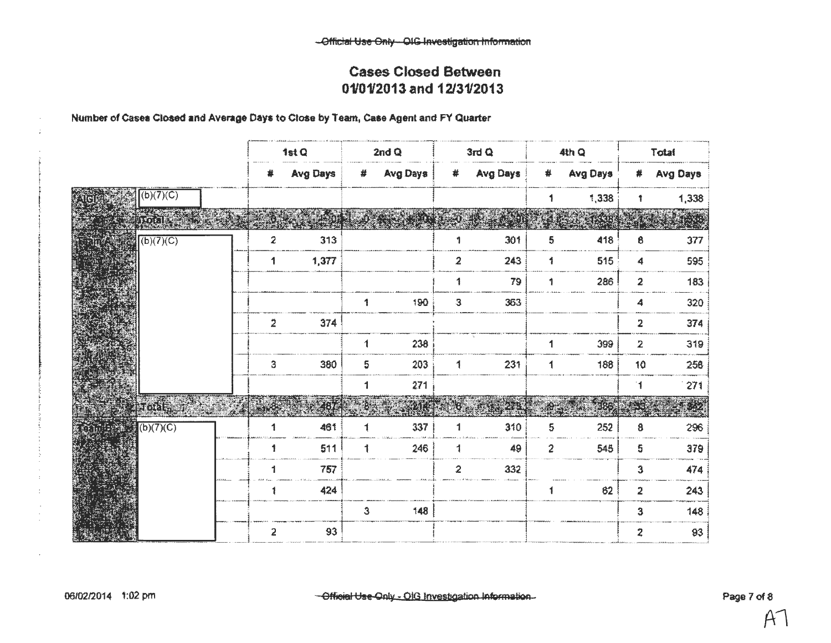#### Number of Cases Closed and Average Days to Close by Team, Case Agent and FY Quarter

|                         |           |                | 1st Q           |              | 2nd $Q$      |                         | 3rdQ       |                      | 4th Q    |                         | Total            |
|-------------------------|-----------|----------------|-----------------|--------------|--------------|-------------------------|------------|----------------------|----------|-------------------------|------------------|
|                         |           | #              | <b>Avg Days</b> |              | $#$ Avg Days |                         | # Avg Days | #                    | Avg Days | #                       | <b>Avg Days</b>  |
|                         | (b)(7)(C) |                |                 |              |              |                         |            | 1                    | 1,338    | $\ddagger$              | 1,338            |
|                         | intarra.  |                |                 |              |              |                         |            |                      |          |                         |                  |
|                         | (b)(7)(C) | $\overline{2}$ | 313             |              |              | 1                       | 301        | 5                    | 418      | 8                       | 377              |
|                         |           | 1              | 1,377           |              |              | $\overline{2}$          | 243        | 1                    | 515      | 4                       | 595              |
|                         |           |                |                 |              |              | $\mathbf{1}$            | 79         | 1                    | 286      | $\boldsymbol{2}$        | 183              |
|                         |           |                |                 | $\mathbf{1}$ | 190          | $\overline{\mathbf{3}}$ | 363        |                      |          | 4                       | 320 <sup>3</sup> |
|                         |           | $\overline{2}$ | 374             |              |              |                         |            |                      |          | $\overline{\mathbf{2}}$ | 374              |
|                         |           |                |                 | 1            | 238          |                         |            | $\mathbf{1}$         | 399      | $\mathbf{2}$            | 319              |
|                         |           | 3              | 380             | 5            | 203          | 1                       | 231        | $\blacktriangleleft$ | 188      | 10                      | 256              |
|                         |           |                |                 | 1            | 271          |                         |            |                      |          | 11                      | 271              |
|                         |           |                |                 |              | 21           |                         |            | t.                   |          |                         | 17               |
| $\frac{1}{2}$ (b)(7)(C) |           |                | 461             |              | 337          |                         | 310        | 5                    | 252      | 8                       | 296              |
|                         |           | 1              | 511             | 1            | 246          | 1                       | 49         | $\overline{c}$       | 545      | 5                       | 379              |
|                         |           |                | 757             |              |              | $\overline{2}$          | 332        |                      |          | 3                       | 474              |
|                         |           |                | 424             |              |              |                         |            |                      | 62       | 2                       | 243              |
|                         |           |                |                 | $\mathbf{3}$ | 148          |                         |            |                      |          | 3                       | 148              |
|                         |           | $\overline{a}$ | 93              |              |              |                         |            |                      |          | $\overline{2}$          | 83               |

 $\cdot$  $\ddot{\phantom{a}}$  $\bar{z}$  $\mathcal{L}$  $\sim$ 

 $\cdot$